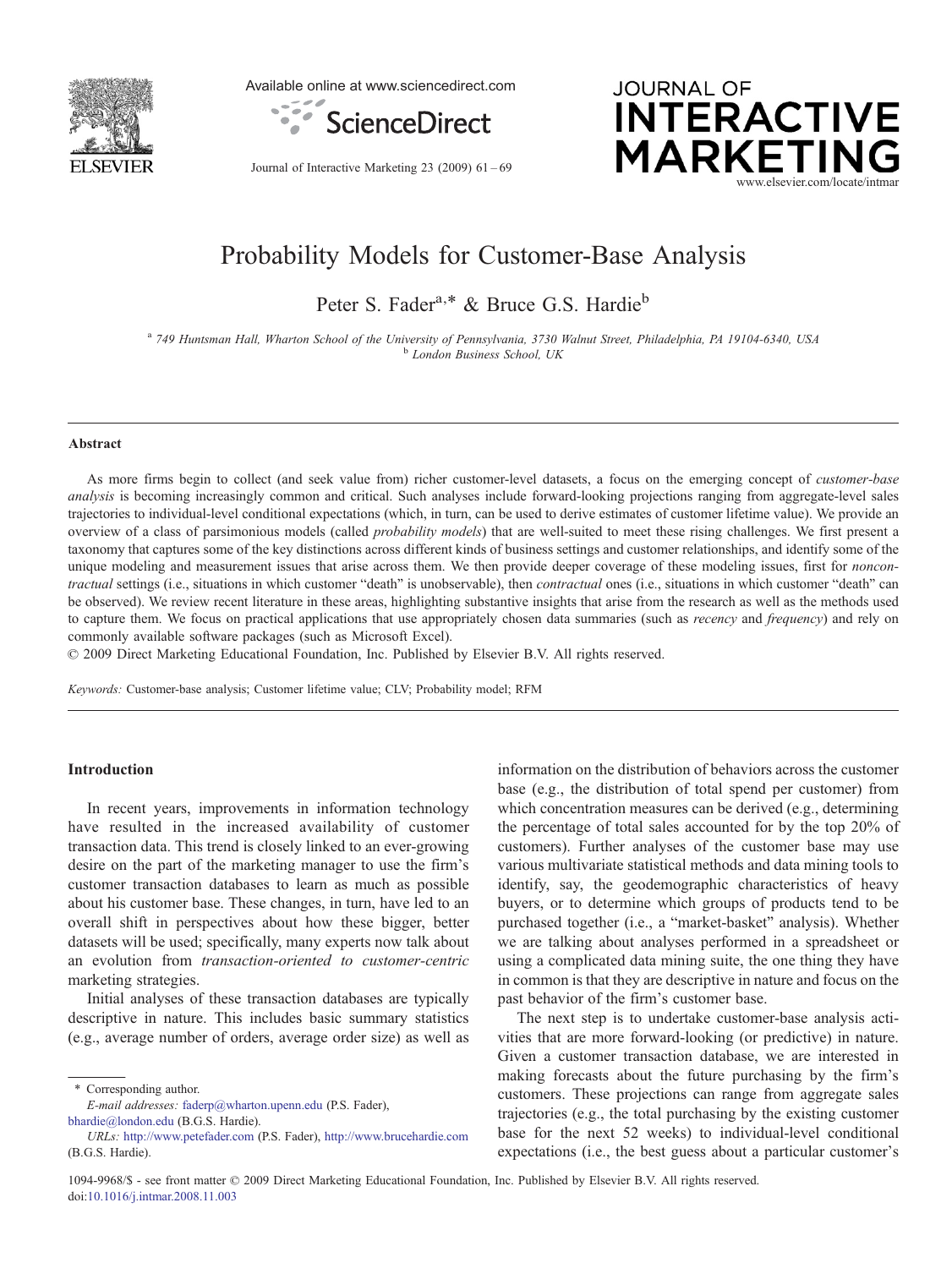

Available online at www.sciencedirect.com



Journal of Interactive Marketing 23 (2009) 61–69



# Probability Models for Customer-Base Analysis

Peter S. Fader<sup>a,\*</sup> & Bruce G.S. Hardie<sup>b</sup>

a 749 Huntsman Hall, Wharton School of the University of Pennsylvania, 3730 Walnut Street, Philadelphia, PA 19104-6340, USA<br>b London Business School, UK

#### Abstract

As more firms begin to collect (and seek value from) richer customer-level datasets, a focus on the emerging concept of *customer-base* analysis is becoming increasingly common and critical. Such analyses include forward-looking projections ranging from aggregate-level sales trajectories to individual-level conditional expectations (which, in turn, can be used to derive estimates of customer lifetime value). We provide an overview of a class of parsimonious models (called *probability models*) that are well-suited to meet these rising challenges. We first present a taxonomy that captures some of the key distinctions across different kinds of business settings and customer relationships, and identify some of the unique modeling and measurement issues that arise across them. We then provide deeper coverage of these modeling issues, first for *noncon*tractual settings (i.e., situations in which customer "death" is unobservable), then *contractual* ones (i.e., situations in which customer "death" can be observed). We review recent literature in these areas, highlighting substantive insights that arise from the research as well as the methods used to capture them. We focus on practical applications that use appropriately chosen data summaries (such as *recency* and *frequency*) and rely on commonly available software packages (such as Microsoft Excel).

 $© 2009 Direct Marketing Educational Foundation, Inc. Published by Elsevier B.V. All rights reserved.$ 

Keywords: Customer-base analysis; Customer lifetime value; CLV; Probability model; RFM

#### Introduction

In recent years, improvements in information technology have resulted in the increased availability of customer transaction data. This trend is closely linked to an ever-growing desire on the part of the marketing manager to use the firm's customer transaction databases to learn as much as possible about his customer base. These changes, in turn, have led to an overall shift in perspectives about how these bigger, better datasets will be used; specifically, many experts now talk about an evolution from transaction-oriented to customer-centric marketing strategies.

Initial analyses of these transaction databases are typically descriptive in nature. This includes basic summary statistics (e.g., average number of orders, average order size) as well as

⁎ Corresponding author.

E-mail addresses: [faderp@wharton.upenn.edu](mailto:faderp@wharton.upenn.edu) (P.S. Fader), [bhardie@london.edu](mailto:bhardie@london.edu) (B.G.S. Hardie).

information on the distribution of behaviors across the customer base (e.g., the distribution of total spend per customer) from which concentration measures can be derived (e.g., determining the percentage of total sales accounted for by the top 20% of customers). Further analyses of the customer base may use various multivariate statistical methods and data mining tools to identify, say, the geodemographic characteristics of heavy buyers, or to determine which groups of products tend to be purchased together (i.e., a "market-basket" analysis). Whether we are talking about analyses performed in a spreadsheet or using a complicated data mining suite, the one thing they have in common is that they are descriptive in nature and focus on the past behavior of the firm's customer base.

The next step is to undertake customer-base analysis activities that are more forward-looking (or predictive) in nature. Given a customer transaction database, we are interested in making forecasts about the future purchasing by the firm's customers. These projections can range from aggregate sales trajectories (e.g., the total purchasing by the existing customer base for the next 52 weeks) to individual-level conditional expectations (i.e., the best guess about a particular customer's

URLs: <http://www.petefader.com> (P.S. Fader), <http://www.brucehardie.com> (B.G.S. Hardie).

<sup>1094-9968/\$ -</sup> see front matter © 2009 Direct Marketing Educational Foundation, Inc. Published by Elsevier B.V. All rights reserved. doi:[10.1016/j.intmar.2008.11.003](http://dx.doi.org/10.1016/j.intmar.2008.11.003)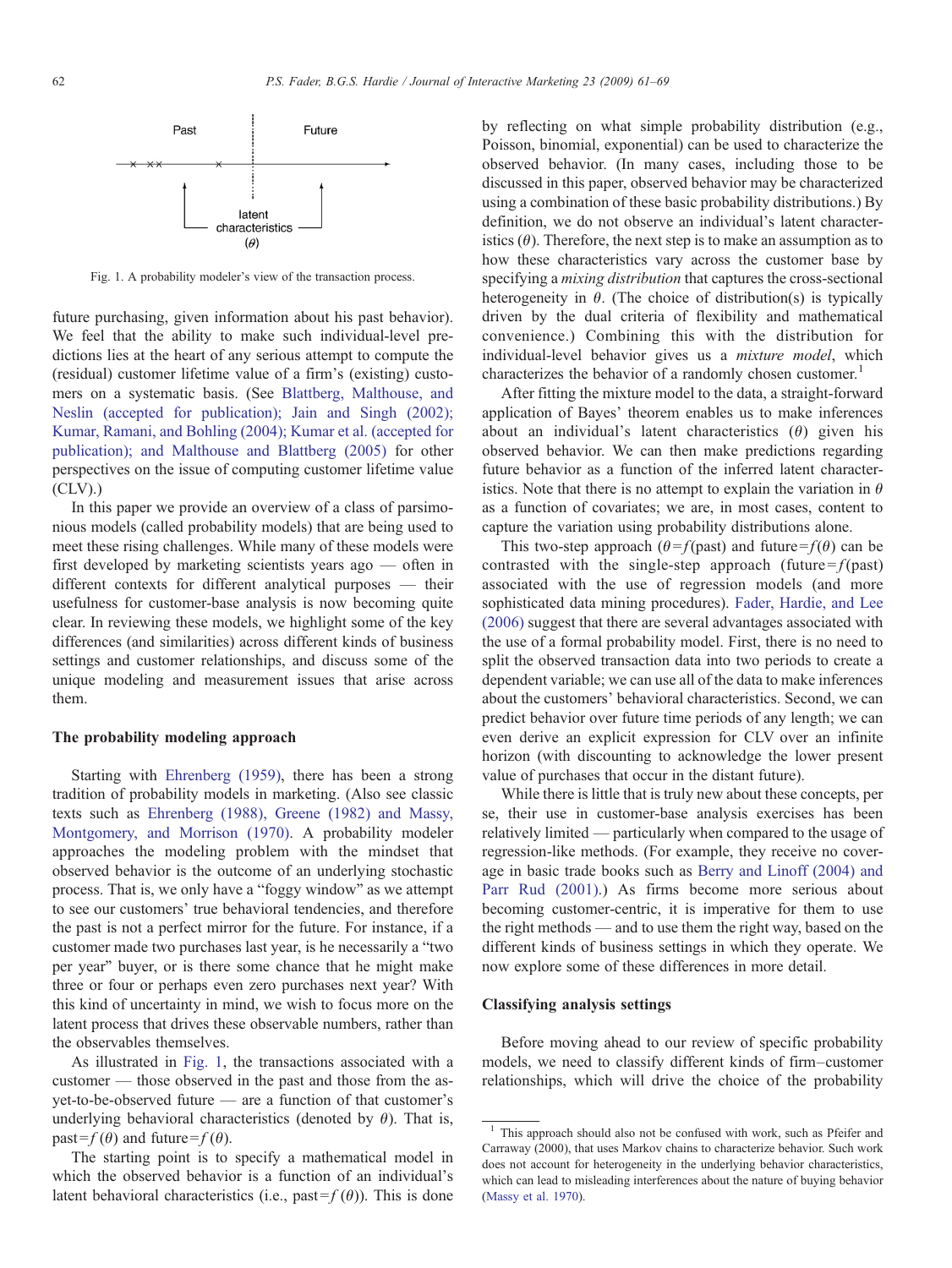

Fig. 1. A probability modeler's view of the transaction process.

future purchasing, given information about his past behavior). We feel that the ability to make such individual-level predictions lies at the heart of any serious attempt to compute the (residual) customer lifetime value of a firm's (existing) customers on a systematic basis. (See [Blattberg, Malthouse, and](#page-7-0) [Neslin \(accepted for publication\); Jain and Singh \(2002\);](#page-7-0) [Kumar, Ramani, and Bohling \(2004\); Kumar et al. \(accepted for](#page-7-0) [publication\); and Malthouse and Blattberg \(2005\)](#page-7-0) for other perspectives on the issue of computing customer lifetime value  $(CLV)$ .)

In this paper we provide an overview of a class of parsimonious models (called probability models) that are being used to meet these rising challenges. While many of these models were first developed by marketing scientists years ago — often in different contexts for different analytical purposes — their usefulness for customer-base analysis is now becoming quite clear. In reviewing these models, we highlight some of the key differences (and similarities) across different kinds of business settings and customer relationships, and discuss some of the unique modeling and measurement issues that arise across them.

#### The probability modeling approach

Starting with [Ehrenberg \(1959\),](#page-7-0) there has been a strong tradition of probability models in marketing. (Also see classic texts such as [Ehrenberg \(1988\), Greene \(1982\) and Massy,](#page-7-0) [Montgomery, and Morrison \(1970\)](#page-7-0). A probability modeler approaches the modeling problem with the mindset that observed behavior is the outcome of an underlying stochastic process. That is, we only have a "foggy window" as we attempt to see our customers' true behavioral tendencies, and therefore the past is not a perfect mirror for the future. For instance, if a customer made two purchases last year, is he necessarily a "two per year" buyer, or is there some chance that he might make three or four or perhaps even zero purchases next year? With this kind of uncertainty in mind, we wish to focus more on the latent process that drives these observable numbers, rather than the observables themselves.

As illustrated in Fig. 1, the transactions associated with a customer — those observed in the past and those from the asyet-to-be-observed future — are a function of that customer's underlying behavioral characteristics (denoted by  $\theta$ ). That is, past= $f(\theta)$  and future= $f(\theta)$ .

The starting point is to specify a mathematical model in which the observed behavior is a function of an individual's latent behavioral characteristics (i.e., past =  $f(\theta)$ ). This is done

by reflecting on what simple probability distribution (e.g., Poisson, binomial, exponential) can be used to characterize the observed behavior. (In many cases, including those to be discussed in this paper, observed behavior may be characterized using a combination of these basic probability distributions.) By definition, we do not observe an individual's latent characteristics  $(\theta)$ . Therefore, the next step is to make an assumption as to how these characteristics vary across the customer base by specifying a mixing distribution that captures the cross-sectional heterogeneity in  $\theta$ . (The choice of distribution(s) is typically driven by the dual criteria of flexibility and mathematical convenience.) Combining this with the distribution for individual-level behavior gives us a *mixture model*, which characterizes the behavior of a randomly chosen customer.<sup>1</sup>

After fitting the mixture model to the data, a straight-forward application of Bayes' theorem enables us to make inferences about an individual's latent characteristics  $(\theta)$  given his observed behavior. We can then make predictions regarding future behavior as a function of the inferred latent characteristics. Note that there is no attempt to explain the variation in  $\theta$ as a function of covariates; we are, in most cases, content to capture the variation using probability distributions alone.

This two-step approach ( $\theta = f$ (past) and future =  $f(\theta)$  can be contrasted with the single-step approach (future =  $f$ (past) associated with the use of regression models (and more sophisticated data mining procedures). [Fader, Hardie, and Lee](#page-7-0) [\(2006\)](#page-7-0) suggest that there are several advantages associated with the use of a formal probability model. First, there is no need to split the observed transaction data into two periods to create a dependent variable; we can use all of the data to make inferences about the customers' behavioral characteristics. Second, we can predict behavior over future time periods of any length; we can even derive an explicit expression for CLV over an infinite horizon (with discounting to acknowledge the lower present value of purchases that occur in the distant future).

While there is little that is truly new about these concepts, per se, their use in customer-base analysis exercises has been relatively limited — particularly when compared to the usage of regression-like methods. (For example, they receive no coverage in basic trade books such as [Berry and Linoff \(2004\) and](#page-7-0) [Parr Rud \(2001\)](#page-7-0).) As firms become more serious about becoming customer-centric, it is imperative for them to use the right methods — and to use them the right way, based on the different kinds of business settings in which they operate. We now explore some of these differences in more detail.

## Classifying analysis settings

Before moving ahead to our review of specific probability models, we need to classify different kinds of firm–customer relationships, which will drive the choice of the probability

<sup>&</sup>lt;sup>1</sup> This approach should also not be confused with work, such as Pfeifer and Carraway (2000), that uses Markov chains to characterize behavior. Such work does not account for heterogeneity in the underlying behavior characteristics, which can lead to misleading interferences about the nature of buying behavior [\(Massy et al. 1970\)](#page-8-0).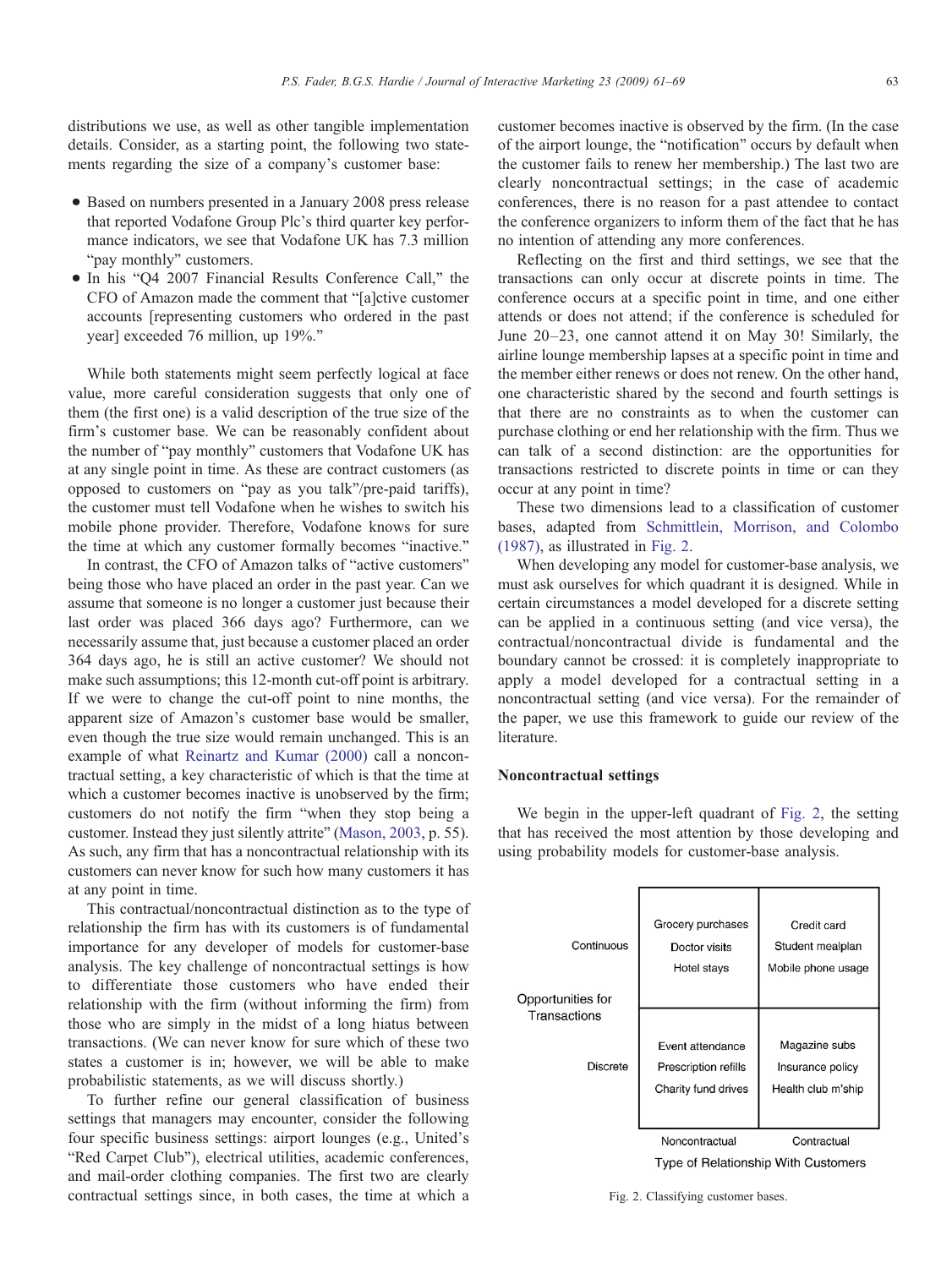<span id="page-2-0"></span>distributions we use, as well as other tangible implementation details. Consider, as a starting point, the following two statements regarding the size of a company's customer base:

- Based on numbers presented in a January 2008 press release that reported Vodafone Group Plc's third quarter key performance indicators, we see that Vodafone UK has 7.3 million "pay monthly" customers.
- In his "Q4 2007 Financial Results Conference Call," the CFO of Amazon made the comment that "[a]ctive customer accounts [representing customers who ordered in the past year] exceeded 76 million, up 19%."

While both statements might seem perfectly logical at face value, more careful consideration suggests that only one of them (the first one) is a valid description of the true size of the firm's customer base. We can be reasonably confident about the number of "pay monthly" customers that Vodafone UK has at any single point in time. As these are contract customers (as opposed to customers on "pay as you talk"/pre-paid tariffs), the customer must tell Vodafone when he wishes to switch his mobile phone provider. Therefore, Vodafone knows for sure the time at which any customer formally becomes "inactive."

In contrast, the CFO of Amazon talks of "active customers" being those who have placed an order in the past year. Can we assume that someone is no longer a customer just because their last order was placed 366 days ago? Furthermore, can we necessarily assume that, just because a customer placed an order 364 days ago, he is still an active customer? We should not make such assumptions; this 12-month cut-off point is arbitrary. If we were to change the cut-off point to nine months, the apparent size of Amazon's customer base would be smaller, even though the true size would remain unchanged. This is an example of what [Reinartz and Kumar \(2000\)](#page-8-0) call a noncontractual setting, a key characteristic of which is that the time at which a customer becomes inactive is unobserved by the firm; customers do not notify the firm "when they stop being a customer. Instead they just silently attrite" [\(Mason, 2003,](#page-8-0) p. 55). As such, any firm that has a noncontractual relationship with its customers can never know for such how many customers it has at any point in time.

This contractual/noncontractual distinction as to the type of relationship the firm has with its customers is of fundamental importance for any developer of models for customer-base analysis. The key challenge of noncontractual settings is how to differentiate those customers who have ended their relationship with the firm (without informing the firm) from those who are simply in the midst of a long hiatus between transactions. (We can never know for sure which of these two states a customer is in; however, we will be able to make probabilistic statements, as we will discuss shortly.)

To further refine our general classification of business settings that managers may encounter, consider the following four specific business settings: airport lounges (e.g., United's "Red Carpet Club"), electrical utilities, academic conferences, and mail-order clothing companies. The first two are clearly contractual settings since, in both cases, the time at which a

customer becomes inactive is observed by the firm. (In the case of the airport lounge, the "notification" occurs by default when the customer fails to renew her membership.) The last two are clearly noncontractual settings; in the case of academic conferences, there is no reason for a past attendee to contact the conference organizers to inform them of the fact that he has no intention of attending any more conferences.

Reflecting on the first and third settings, we see that the transactions can only occur at discrete points in time. The conference occurs at a specific point in time, and one either attends or does not attend; if the conference is scheduled for June 20–23, one cannot attend it on May 30! Similarly, the airline lounge membership lapses at a specific point in time and the member either renews or does not renew. On the other hand, one characteristic shared by the second and fourth settings is that there are no constraints as to when the customer can purchase clothing or end her relationship with the firm. Thus we can talk of a second distinction: are the opportunities for transactions restricted to discrete points in time or can they occur at any point in time?

These two dimensions lead to a classification of customer bases, adapted from [Schmittlein, Morrison, and Colombo](#page-8-0) [\(1987\),](#page-8-0) as illustrated in Fig. 2.

When developing any model for customer-base analysis, we must ask ourselves for which quadrant it is designed. While in certain circumstances a model developed for a discrete setting can be applied in a continuous setting (and vice versa), the contractual/noncontractual divide is fundamental and the boundary cannot be crossed: it is completely inappropriate to apply a model developed for a contractual setting in a noncontractual setting (and vice versa). For the remainder of the paper, we use this framework to guide our review of the literature.

#### Noncontractual settings

We begin in the upper-left quadrant of Fig. 2, the setting that has received the most attention by those developing and using probability models for customer-base analysis.

| Continuous<br>Opportunities for | Grocery purchases<br>Doctor visits<br>Hotel stays               | Credit card<br>Student mealplan<br>Mobile phone usage   |  |  |  |
|---------------------------------|-----------------------------------------------------------------|---------------------------------------------------------|--|--|--|
| Transactions                    |                                                                 |                                                         |  |  |  |
| <b>Discrete</b>                 | Event attendance<br>Prescription refills<br>Charity fund drives | Magazine subs<br>Insurance policy<br>Health club m'ship |  |  |  |
|                                 | Noncontractual                                                  | Contractual                                             |  |  |  |
|                                 | Type of Relationship With Customers                             |                                                         |  |  |  |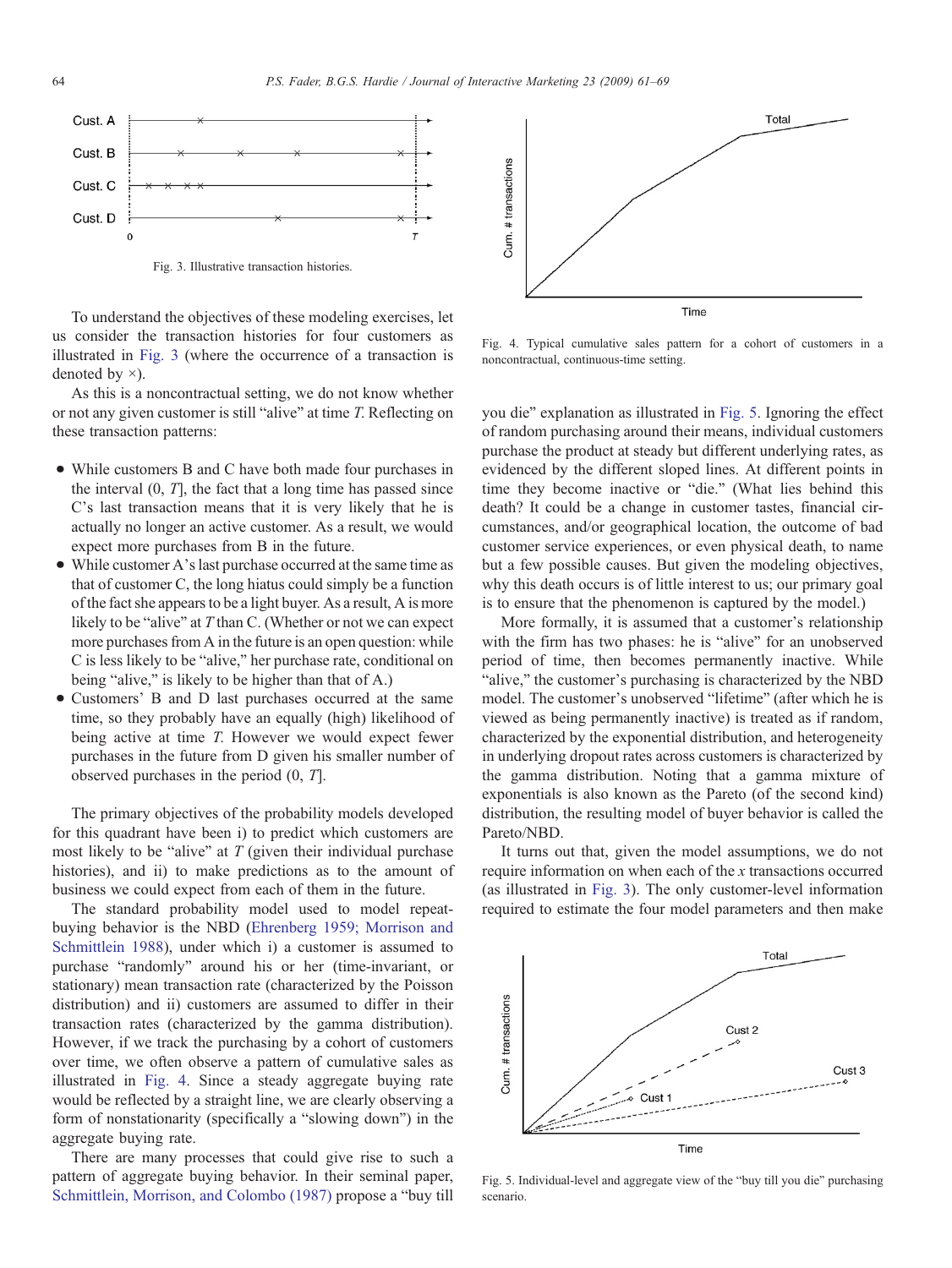<span id="page-3-0"></span>

Fig. 3. Illustrative transaction histories.

To understand the objectives of these modeling exercises, let us consider the transaction histories for four customers as illustrated in Fig. 3 (where the occurrence of a transaction is denoted by ×).

As this is a noncontractual setting, we do not know whether or not any given customer is still "alive" at time T. Reflecting on these transaction patterns:

- While customers B and C have both made four purchases in the interval  $(0, T]$ , the fact that a long time has passed since C's last transaction means that it is very likely that he is actually no longer an active customer. As a result, we would expect more purchases from B in the future.
- While customer A's last purchase occurred at the same time as that of customer C, the long hiatus could simply be a function of the fact she appears to be a light buyer. As a result, A is more likely to be "alive" at T than C. (Whether or not we can expect more purchases from A in the future is an open question: while C is less likely to be "alive," her purchase rate, conditional on being "alive," is likely to be higher than that of A.)
- Customers' B and D last purchases occurred at the same time, so they probably have an equally (high) likelihood of being active at time T. However we would expect fewer purchases in the future from D given his smaller number of observed purchases in the period (0, T].

The primary objectives of the probability models developed for this quadrant have been i) to predict which customers are most likely to be "alive" at  $T$  (given their individual purchase histories), and ii) to make predictions as to the amount of business we could expect from each of them in the future.

The standard probability model used to model repeatbuying behavior is the NBD [\(Ehrenberg 1959; Morrison and](#page-7-0) [Schmittlein 1988](#page-7-0)), under which i) a customer is assumed to purchase "randomly" around his or her (time-invariant, or stationary) mean transaction rate (characterized by the Poisson distribution) and ii) customers are assumed to differ in their transaction rates (characterized by the gamma distribution). However, if we track the purchasing by a cohort of customers over time, we often observe a pattern of cumulative sales as illustrated in Fig. 4. Since a steady aggregate buying rate would be reflected by a straight line, we are clearly observing a form of nonstationarity (specifically a "slowing down") in the aggregate buying rate.

There are many processes that could give rise to such a pattern of aggregate buying behavior. In their seminal paper, [Schmittlein, Morrison, and Colombo \(1987\)](#page-8-0) propose a "buy till



Fig. 4. Typical cumulative sales pattern for a cohort of customers in a noncontractual, continuous-time setting.

you die" explanation as illustrated in Fig. 5. Ignoring the effect of random purchasing around their means, individual customers purchase the product at steady but different underlying rates, as evidenced by the different sloped lines. At different points in time they become inactive or "die." (What lies behind this death? It could be a change in customer tastes, financial circumstances, and/or geographical location, the outcome of bad customer service experiences, or even physical death, to name but a few possible causes. But given the modeling objectives, why this death occurs is of little interest to us; our primary goal is to ensure that the phenomenon is captured by the model.)

More formally, it is assumed that a customer's relationship with the firm has two phases: he is "alive" for an unobserved period of time, then becomes permanently inactive. While "alive," the customer's purchasing is characterized by the NBD model. The customer's unobserved "lifetime" (after which he is viewed as being permanently inactive) is treated as if random, characterized by the exponential distribution, and heterogeneity in underlying dropout rates across customers is characterized by the gamma distribution. Noting that a gamma mixture of exponentials is also known as the Pareto (of the second kind) distribution, the resulting model of buyer behavior is called the Pareto/NBD.

It turns out that, given the model assumptions, we do not require information on when each of the x transactions occurred (as illustrated in Fig. 3). The only customer-level information required to estimate the four model parameters and then make



Fig. 5. Individual-level and aggregate view of the "buy till you die" purchasing scenario.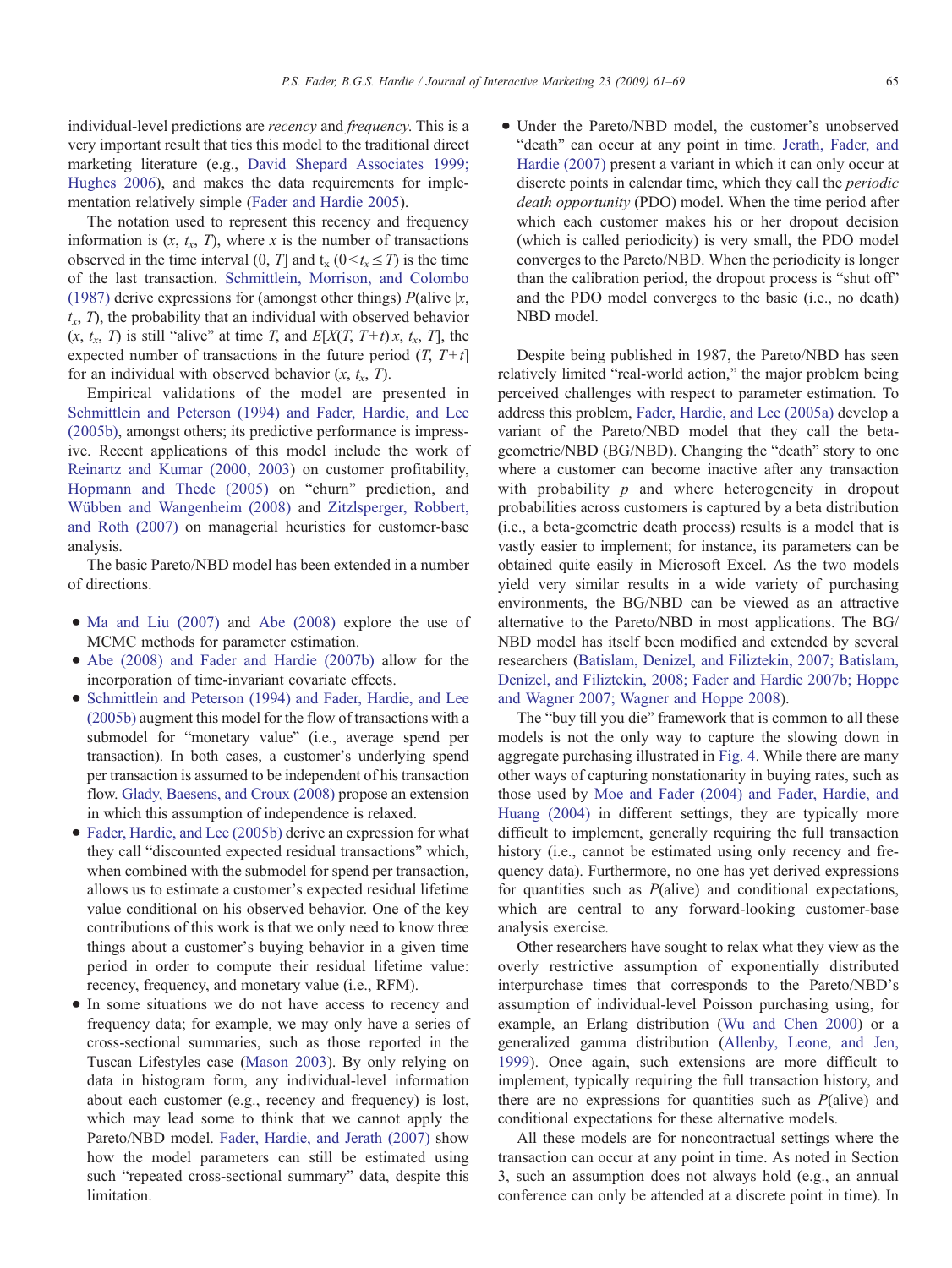individual-level predictions are recency and frequency. This is a very important result that ties this model to the traditional direct marketing literature (e.g., [David Shepard Associates 1999;](#page-7-0) [Hughes 2006\)](#page-7-0), and makes the data requirements for implementation relatively simple ([Fader and Hardie 2005](#page-7-0)).

The notation used to represent this recency and frequency information is  $(x, t<sub>x</sub>, T)$ , where x is the number of transactions observed in the time interval (0, T] and  $t_x$  (0 $\lt t_x \leq T$ ) is the time of the last transaction. [Schmittlein, Morrison, and Colombo](#page-8-0) [\(1987\)](#page-8-0) derive expressions for (amongst other things)  $P(\text{alive } | x,$  $t<sub>x</sub>$ , T), the probability that an individual with observed behavior  $(x, t_x, T)$  is still "alive" at time T, and  $E[X(T, T+t) | x, t_x, T]$ , the expected number of transactions in the future period  $(T, T+t)$ for an individual with observed behavior  $(x, t<sub>x</sub>, T)$ .

Empirical validations of the model are presented in [Schmittlein and Peterson \(1994\) and Fader, Hardie, and Lee](#page-8-0) [\(2005b\),](#page-8-0) amongst others; its predictive performance is impressive. Recent applications of this model include the work of [Reinartz and Kumar \(2000, 2003\)](#page-8-0) on customer profitability, [Hopmann and Thede \(2005\)](#page-7-0) on "churn" prediction, and [Wübben and Wangenheim \(2008\)](#page-8-0) and [Zitzlsperger, Robbert,](#page-8-0) [and Roth \(2007\)](#page-8-0) on managerial heuristics for customer-base analysis.

The basic Pareto/NBD model has been extended in a number of directions.

- [Ma and Liu \(2007\)](#page-8-0) and [Abe \(2008\)](#page-7-0) explore the use of MCMC methods for parameter estimation.
- [Abe \(2008\) and Fader and Hardie \(2007b\)](#page-7-0) allow for the incorporation of time-invariant covariate effects.
- [Schmittlein and Peterson \(1994\) and Fader, Hardie, and Lee](#page-8-0) [\(2005b\)](#page-8-0) augment this model for the flow of transactions with a submodel for "monetary value" (i.e., average spend per transaction). In both cases, a customer's underlying spend per transaction is assumed to be independent of his transaction flow. [Glady, Baesens, and Croux \(2008\)](#page-7-0) propose an extension in which this assumption of independence is relaxed.
- [Fader, Hardie, and Lee \(2005b\)](#page-7-0) derive an expression for what they call "discounted expected residual transactions" which, when combined with the submodel for spend per transaction, allows us to estimate a customer's expected residual lifetime value conditional on his observed behavior. One of the key contributions of this work is that we only need to know three things about a customer's buying behavior in a given time period in order to compute their residual lifetime value: recency, frequency, and monetary value (i.e., RFM).
- In some situations we do not have access to recency and frequency data; for example, we may only have a series of cross-sectional summaries, such as those reported in the Tuscan Lifestyles case ([Mason 2003\)](#page-8-0). By only relying on data in histogram form, any individual-level information about each customer (e.g., recency and frequency) is lost, which may lead some to think that we cannot apply the Pareto/NBD model. [Fader, Hardie, and Jerath \(2007\)](#page-7-0) show how the model parameters can still be estimated using such "repeated cross-sectional summary" data, despite this limitation.

• Under the Pareto/NBD model, the customer's unobserved "death" can occur at any point in time. [Jerath, Fader, and](#page-7-0) [Hardie \(2007\)](#page-7-0) present a variant in which it can only occur at discrete points in calendar time, which they call the periodic death opportunity (PDO) model. When the time period after which each customer makes his or her dropout decision (which is called periodicity) is very small, the PDO model converges to the Pareto/NBD. When the periodicity is longer than the calibration period, the dropout process is "shut off" and the PDO model converges to the basic (i.e., no death) NBD model.

Despite being published in 1987, the Pareto/NBD has seen relatively limited "real-world action," the major problem being perceived challenges with respect to parameter estimation. To address this problem, [Fader, Hardie, and Lee \(2005a\)](#page-7-0) develop a variant of the Pareto/NBD model that they call the betageometric/NBD (BG/NBD). Changing the "death" story to one where a customer can become inactive after any transaction with probability  $p$  and where heterogeneity in dropout probabilities across customers is captured by a beta distribution (i.e., a beta-geometric death process) results is a model that is vastly easier to implement; for instance, its parameters can be obtained quite easily in Microsoft Excel. As the two models yield very similar results in a wide variety of purchasing environments, the BG/NBD can be viewed as an attractive alternative to the Pareto/NBD in most applications. The BG/ NBD model has itself been modified and extended by several researchers ([Batislam, Denizel, and Filiztekin, 2007; Batislam,](#page-7-0) [Denizel, and Filiztekin, 2008; Fader and Hardie 2007b; Hoppe](#page-7-0) [and Wagner 2007; Wagner and Hoppe 2008](#page-7-0)).

The "buy till you die" framework that is common to all these models is not the only way to capture the slowing down in aggregate purchasing illustrated in [Fig. 4.](#page-3-0) While there are many other ways of capturing nonstationarity in buying rates, such as those used by [Moe and Fader \(2004\) and Fader, Hardie, and](#page-8-0) [Huang \(2004\)](#page-8-0) in different settings, they are typically more difficult to implement, generally requiring the full transaction history (*i.e.*, cannot be estimated using only recency and frequency data). Furthermore, no one has yet derived expressions for quantities such as  $P(\text{alive})$  and conditional expectations, which are central to any forward-looking customer-base analysis exercise.

Other researchers have sought to relax what they view as the overly restrictive assumption of exponentially distributed interpurchase times that corresponds to the Pareto/NBD's assumption of individual-level Poisson purchasing using, for example, an Erlang distribution [\(Wu and Chen 2000\)](#page-8-0) or a generalized gamma distribution [\(Allenby, Leone, and Jen,](#page-7-0) [1999](#page-7-0)). Once again, such extensions are more difficult to implement, typically requiring the full transaction history, and there are no expressions for quantities such as  $P(\text{alive})$  and conditional expectations for these alternative models.

All these models are for noncontractual settings where the transaction can occur at any point in time. As noted in Section 3, such an assumption does not always hold (e.g., an annual conference can only be attended at a discrete point in time). In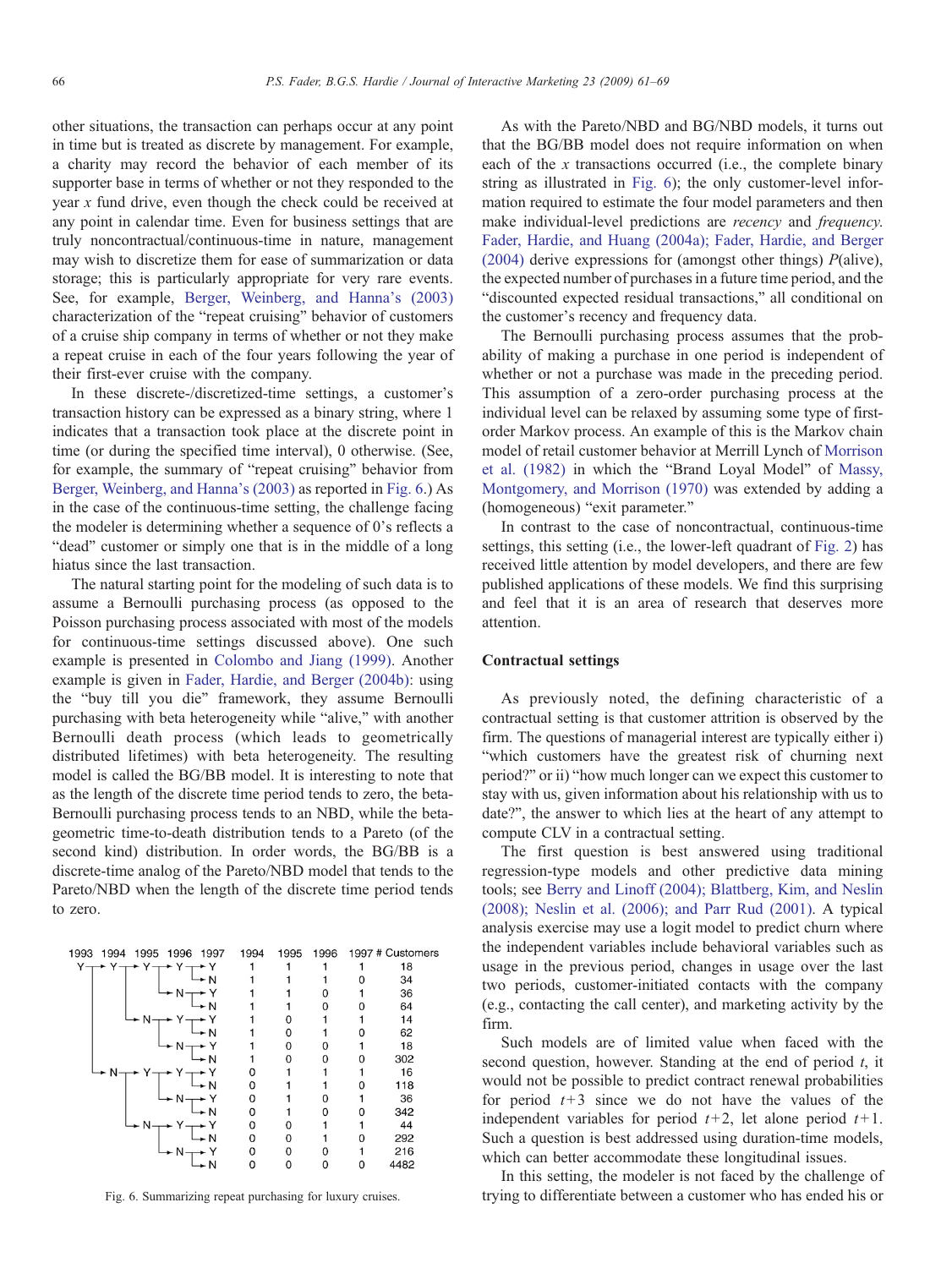other situations, the transaction can perhaps occur at any point in time but is treated as discrete by management. For example, a charity may record the behavior of each member of its supporter base in terms of whether or not they responded to the year x fund drive, even though the check could be received at any point in calendar time. Even for business settings that are truly noncontractual/continuous-time in nature, management may wish to discretize them for ease of summarization or data storage; this is particularly appropriate for very rare events. See, for example, [Berger, Weinberg, and Hanna](#page-7-0)'s (2003) characterization of the "repeat cruising" behavior of customers of a cruise ship company in terms of whether or not they make a repeat cruise in each of the four years following the year of their first-ever cruise with the company.

In these discrete-/discretized-time settings, a customer's transaction history can be expressed as a binary string, where 1 indicates that a transaction took place at the discrete point in time (or during the specified time interval), 0 otherwise. (See, for example, the summary of "repeat cruising" behavior from [Berger, Weinberg, and Hanna](#page-7-0)'s (2003) as reported in Fig. 6.) As in the case of the continuous-time setting, the challenge facing the modeler is determining whether a sequence of 0's reflects a "dead" customer or simply one that is in the middle of a long hiatus since the last transaction.

The natural starting point for the modeling of such data is to assume a Bernoulli purchasing process (as opposed to the Poisson purchasing process associated with most of the models for continuous-time settings discussed above). One such example is presented in [Colombo and Jiang \(1999\).](#page-7-0) Another example is given in [Fader, Hardie, and Berger \(2004b\)](#page-7-0): using the "buy till you die" framework, they assume Bernoulli purchasing with beta heterogeneity while "alive," with another Bernoulli death process (which leads to geometrically distributed lifetimes) with beta heterogeneity. The resulting model is called the BG/BB model. It is interesting to note that as the length of the discrete time period tends to zero, the beta-Bernoulli purchasing process tends to an NBD, while the betageometric time-to-death distribution tends to a Pareto (of the second kind) distribution. In order words, the BG/BB is a discrete-time analog of the Pareto/NBD model that tends to the Pareto/NBD when the length of the discrete time period tends to zero.

| 1993<br>1995 1996 1997<br>1994 | 1994 | 1995 | 1996 |   | 1997 # Customers |
|--------------------------------|------|------|------|---|------------------|
| Yπ                             |      |      |      |   | 18               |
| - N                            |      |      |      |   | 34               |
| $N-$                           |      |      |      |   | 36               |
| - N                            |      |      |      |   | 64               |
|                                |      |      |      |   | 14               |
| $Y \rightarrow Y$              |      |      |      |   | 62               |
|                                |      |      | Ω    |   | 18               |
| N                              |      |      | ი    |   | 302              |
|                                | O    |      |      |   | 16               |
| $\rightarrow$ N                | 0    |      |      |   | 118              |
|                                | 0    |      |      |   | 36               |
| - N                            | 0    |      | o    |   | 342              |
|                                | 0    |      |      |   | 44               |
| $\star$ N                      | 0    | 0    |      | n | 292              |
| - N-                           | 0    | ი    |      |   | 216              |
| N                              | 0    |      |      | O | 4482             |

As with the Pareto/NBD and BG/NBD models, it turns out that the BG/BB model does not require information on when each of the x transactions occurred (i.e., the complete binary string as illustrated in Fig. 6); the only customer-level information required to estimate the four model parameters and then make individual-level predictions are recency and frequency. [Fader, Hardie, and Huang \(2004a\); Fader, Hardie, and Berger](#page-7-0) [\(2004\)](#page-7-0) derive expressions for (amongst other things)  $P$ (alive), the expected number of purchases in a future time period, and the "discounted expected residual transactions," all conditional on the customer's recency and frequency data.

The Bernoulli purchasing process assumes that the probability of making a purchase in one period is independent of whether or not a purchase was made in the preceding period. This assumption of a zero-order purchasing process at the individual level can be relaxed by assuming some type of firstorder Markov process. An example of this is the Markov chain model of retail customer behavior at Merrill Lynch of [Morrison](#page-8-0) [et al. \(1982\)](#page-8-0) in which the "Brand Loyal Model" of [Massy,](#page-8-0) [Montgomery, and Morrison \(1970\)](#page-8-0) was extended by adding a (homogeneous) "exit parameter."

In contrast to the case of noncontractual, continuous-time settings, this setting (i.e., the lower-left quadrant of [Fig. 2](#page-2-0)) has received little attention by model developers, and there are few published applications of these models. We find this surprising and feel that it is an area of research that deserves more attention.

## Contractual settings

As previously noted, the defining characteristic of a contractual setting is that customer attrition is observed by the firm. The questions of managerial interest are typically either i) "which customers have the greatest risk of churning next period?" or ii) "how much longer can we expect this customer to stay with us, given information about his relationship with us to date?", the answer to which lies at the heart of any attempt to compute CLV in a contractual setting.

The first question is best answered using traditional regression-type models and other predictive data mining tools; see [Berry and Linoff \(2004\); Blattberg, Kim, and Neslin](#page-7-0) [\(2008\); Neslin et al. \(2006\); and Parr Rud \(2001\)](#page-7-0). A typical analysis exercise may use a logit model to predict churn where the independent variables include behavioral variables such as usage in the previous period, changes in usage over the last two periods, customer-initiated contacts with the company (e.g., contacting the call center), and marketing activity by the firm.

Such models are of limited value when faced with the second question, however. Standing at the end of period  $t$ , it would not be possible to predict contract renewal probabilities for period  $t+3$  since we do not have the values of the independent variables for period  $t+2$ , let alone period  $t+1$ . Such a question is best addressed using duration-time models, which can better accommodate these longitudinal issues.

In this setting, the modeler is not faced by the challenge of Fig. 6. Summarizing repeat purchasing for luxury cruises. trying to differentiate between a customer who has ended his or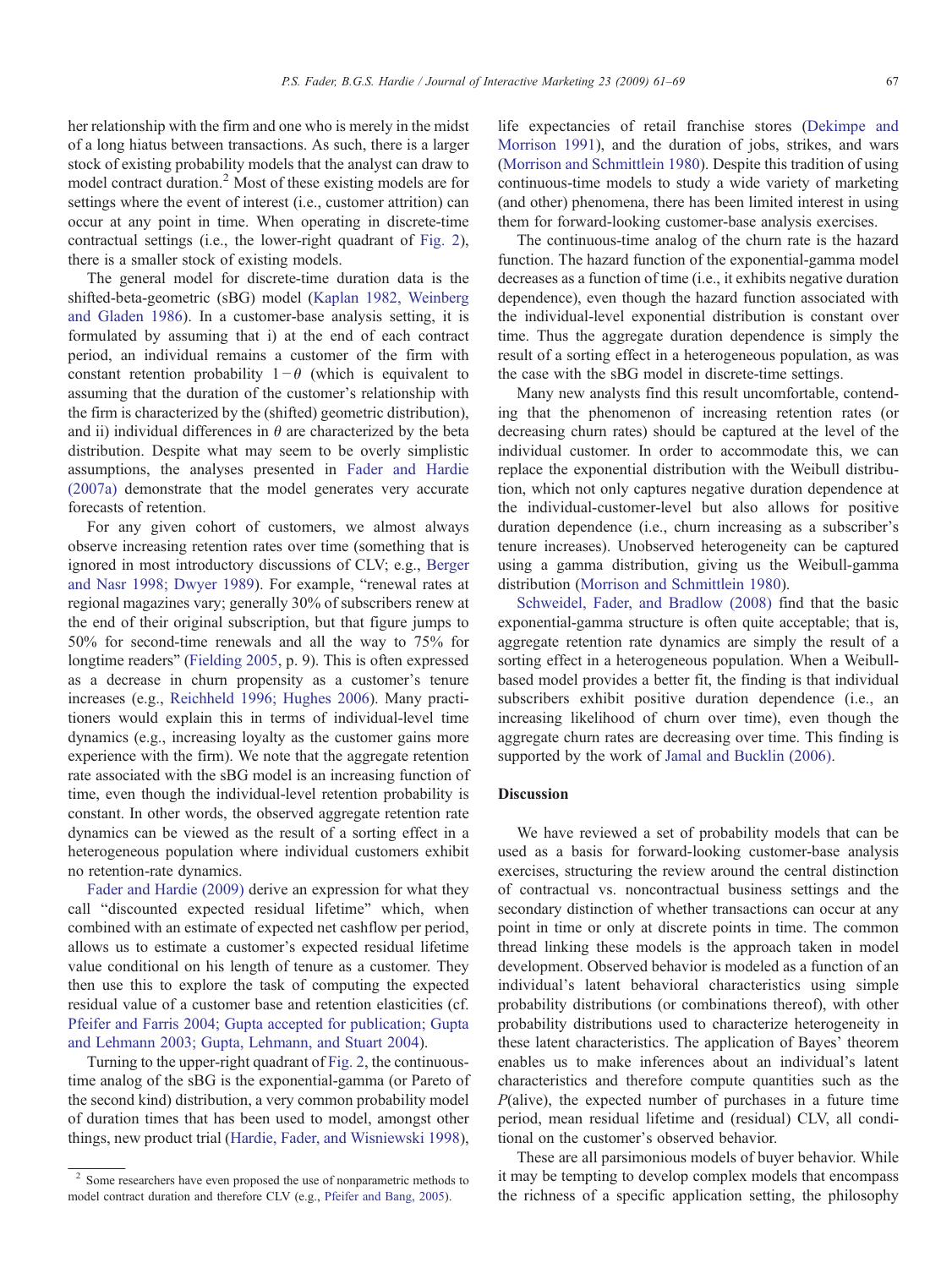her relationship with the firm and one who is merely in the midst of a long hiatus between transactions. As such, there is a larger stock of existing probability models that the analyst can draw to model contract duration.<sup>2</sup> Most of these existing models are for settings where the event of interest (i.e., customer attrition) can occur at any point in time. When operating in discrete-time contractual settings (i.e., the lower-right quadrant of [Fig. 2\)](#page-2-0), there is a smaller stock of existing models.

The general model for discrete-time duration data is the shifted-beta-geometric (sBG) model [\(Kaplan 1982, Weinberg](#page-7-0) [and Gladen 1986](#page-7-0)). In a customer-base analysis setting, it is formulated by assuming that i) at the end of each contract period, an individual remains a customer of the firm with constant retention probability  $1-\theta$  (which is equivalent to assuming that the duration of the customer's relationship with the firm is characterized by the (shifted) geometric distribution), and ii) individual differences in  $\theta$  are characterized by the beta distribution. Despite what may seem to be overly simplistic assumptions, the analyses presented in [Fader and Hardie](#page-7-0) [\(2007a\)](#page-7-0) demonstrate that the model generates very accurate forecasts of retention.

For any given cohort of customers, we almost always observe increasing retention rates over time (something that is ignored in most introductory discussions of CLV; e.g., [Berger](#page-7-0) [and Nasr 1998; Dwyer 1989](#page-7-0)). For example, "renewal rates at regional magazines vary; generally 30% of subscribers renew at the end of their original subscription, but that figure jumps to 50% for second-time renewals and all the way to 75% for longtime readers" [\(Fielding 2005,](#page-7-0) p. 9). This is often expressed as a decrease in churn propensity as a customer's tenure increases (e.g., [Reichheld 1996; Hughes 2006](#page-8-0)). Many practitioners would explain this in terms of individual-level time dynamics (e.g., increasing loyalty as the customer gains more experience with the firm). We note that the aggregate retention rate associated with the sBG model is an increasing function of time, even though the individual-level retention probability is constant. In other words, the observed aggregate retention rate dynamics can be viewed as the result of a sorting effect in a heterogeneous population where individual customers exhibit no retention-rate dynamics.

[Fader and Hardie \(2009\)](#page-7-0) derive an expression for what they call "discounted expected residual lifetime" which, when combined with an estimate of expected net cashflow per period, allows us to estimate a customer's expected residual lifetime value conditional on his length of tenure as a customer. They then use this to explore the task of computing the expected residual value of a customer base and retention elasticities (cf. [Pfeifer and Farris 2004; Gupta accepted for publication; Gupta](#page-8-0) [and Lehmann 2003; Gupta, Lehmann, and Stuart 2004](#page-8-0)).

Turning to the upper-right quadrant of [Fig. 2](#page-2-0), the continuoustime analog of the sBG is the exponential-gamma (or Pareto of the second kind) distribution, a very common probability model of duration times that has been used to model, amongst other things, new product trial [\(Hardie, Fader, and Wisniewski 1998\)](#page-7-0),

life expectancies of retail franchise stores [\(Dekimpe and](#page-7-0) [Morrison 1991\)](#page-7-0), and the duration of jobs, strikes, and wars ([Morrison and Schmittlein 1980](#page-8-0)). Despite this tradition of using continuous-time models to study a wide variety of marketing (and other) phenomena, there has been limited interest in using them for forward-looking customer-base analysis exercises.

The continuous-time analog of the churn rate is the hazard function. The hazard function of the exponential-gamma model decreases as a function of time (i.e., it exhibits negative duration dependence), even though the hazard function associated with the individual-level exponential distribution is constant over time. Thus the aggregate duration dependence is simply the result of a sorting effect in a heterogeneous population, as was the case with the sBG model in discrete-time settings.

Many new analysts find this result uncomfortable, contending that the phenomenon of increasing retention rates (or decreasing churn rates) should be captured at the level of the individual customer. In order to accommodate this, we can replace the exponential distribution with the Weibull distribution, which not only captures negative duration dependence at the individual-customer-level but also allows for positive duration dependence (i.e., churn increasing as a subscriber's tenure increases). Unobserved heterogeneity can be captured using a gamma distribution, giving us the Weibull-gamma distribution [\(Morrison and Schmittlein 1980\)](#page-8-0).

[Schweidel, Fader, and Bradlow \(2008\)](#page-8-0) find that the basic exponential-gamma structure is often quite acceptable; that is, aggregate retention rate dynamics are simply the result of a sorting effect in a heterogeneous population. When a Weibullbased model provides a better fit, the finding is that individual subscribers exhibit positive duration dependence (i.e., an increasing likelihood of churn over time), even though the aggregate churn rates are decreasing over time. This finding is supported by the work of [Jamal and Bucklin \(2006\)](#page-7-0).

# **Discussion**

We have reviewed a set of probability models that can be used as a basis for forward-looking customer-base analysis exercises, structuring the review around the central distinction of contractual vs. noncontractual business settings and the secondary distinction of whether transactions can occur at any point in time or only at discrete points in time. The common thread linking these models is the approach taken in model development. Observed behavior is modeled as a function of an individual's latent behavioral characteristics using simple probability distributions (or combinations thereof), with other probability distributions used to characterize heterogeneity in these latent characteristics. The application of Bayes' theorem enables us to make inferences about an individual's latent characteristics and therefore compute quantities such as the  $P$ (alive), the expected number of purchases in a future time period, mean residual lifetime and (residual) CLV, all conditional on the customer's observed behavior.

These are all parsimonious models of buyer behavior. While it may be tempting to develop complex models that encompass the richness of a specific application setting, the philosophy

<sup>&</sup>lt;sup>2</sup> Some researchers have even proposed the use of nonparametric methods to model contract duration and therefore CLV (e.g., [Pfeifer and Bang, 2005](#page-8-0)).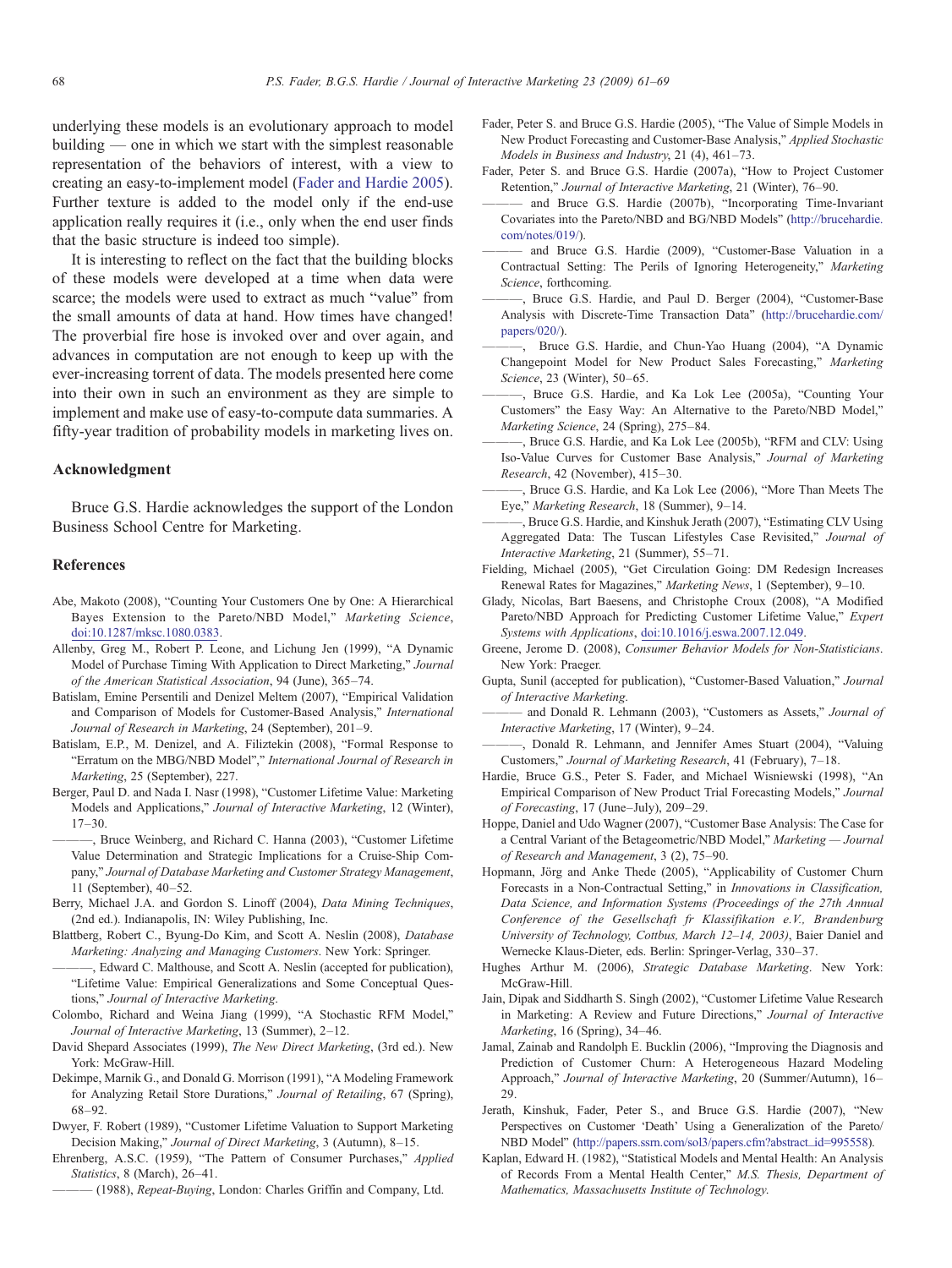<span id="page-7-0"></span>underlying these models is an evolutionary approach to model building — one in which we start with the simplest reasonable representation of the behaviors of interest, with a view to creating an easy-to-implement model (Fader and Hardie 2005). Further texture is added to the model only if the end-use application really requires it (i.e., only when the end user finds that the basic structure is indeed too simple).

It is interesting to reflect on the fact that the building blocks of these models were developed at a time when data were scarce; the models were used to extract as much "value" from the small amounts of data at hand. How times have changed! The proverbial fire hose is invoked over and over again, and advances in computation are not enough to keep up with the ever-increasing torrent of data. The models presented here come into their own in such an environment as they are simple to implement and make use of easy-to-compute data summaries. A fifty-year tradition of probability models in marketing lives on.

#### Acknowledgment

Bruce G.S. Hardie acknowledges the support of the London Business School Centre for Marketing.

#### References

- Abe, Makoto (2008), "Counting Your Customers One by One: A Hierarchical Bayes Extension to the Pareto/NBD Model," Marketing Science, doi:10.1287/mksc.1080.0383.
- Allenby, Greg M., Robert P. Leone, and Lichung Jen (1999), "A Dynamic Model of Purchase Timing With Application to Direct Marketing," Journal of the American Statistical Association, 94 (June), 365–74.
- Batislam, Emine Persentili and Denizel Meltem (2007), "Empirical Validation and Comparison of Models for Customer-Based Analysis," International Journal of Research in Marketing, 24 (September), 201–9.
- Batislam, E.P., M. Denizel, and A. Filiztekin (2008), "Formal Response to "Erratum on the MBG/NBD Model"," International Journal of Research in Marketing, 25 (September), 227.
- Berger, Paul D. and Nada I. Nasr (1998), "Customer Lifetime Value: Marketing Models and Applications," Journal of Interactive Marketing, 12 (Winter), 17–30.
- ———, Bruce Weinberg, and Richard C. Hanna (2003), "Customer Lifetime Value Determination and Strategic Implications for a Cruise-Ship Company," Journal of Database Marketing and Customer Strategy Management, 11 (September), 40–52.
- Berry, Michael J.A. and Gordon S. Linoff (2004), Data Mining Techniques, (2nd ed.). Indianapolis, IN: Wiley Publishing, Inc.
- Blattberg, Robert C., Byung-Do Kim, and Scott A. Neslin (2008), Database Marketing: Analyzing and Managing Customers. New York: Springer.

Edward C. Malthouse, and Scott A. Neslin (accepted for publication), "Lifetime Value: Empirical Generalizations and Some Conceptual Questions," Journal of Interactive Marketing.

- Colombo, Richard and Weina Jiang (1999), "A Stochastic RFM Model," Journal of Interactive Marketing, 13 (Summer), 2–12.
- David Shepard Associates (1999), The New Direct Marketing, (3rd ed.). New York: McGraw-Hill.
- Dekimpe, Marnik G., and Donald G. Morrison (1991), "A Modeling Framework for Analyzing Retail Store Durations," Journal of Retailing, 67 (Spring), 68–92.
- Dwyer, F. Robert (1989), "Customer Lifetime Valuation to Support Marketing Decision Making," Journal of Direct Marketing, 3 (Autumn), 8–15.
- Ehrenberg, A.S.C. (1959), "The Pattern of Consumer Purchases," Applied Statistics, 8 (March), 26-41.
	- (1988), Repeat-Buying, London: Charles Griffin and Company, Ltd.
- Fader, Peter S. and Bruce G.S. Hardie (2005), "The Value of Simple Models in New Product Forecasting and Customer-Base Analysis," Applied Stochastic Models in Business and Industry, 21 (4), 461–73.
- Fader, Peter S. and Bruce G.S. Hardie (2007a), "How to Project Customer Retention," Journal of Interactive Marketing, 21 (Winter), 76–90.
- and Bruce G.S. Hardie (2007b), "Incorporating Time-Invariant Covariates into the Pareto/NBD and BG/NBD Models" (http://brucehardie. com/notes/019/).
- and Bruce G.S. Hardie (2009), "Customer-Base Valuation in a Contractual Setting: The Perils of Ignoring Heterogeneity," Marketing Science, forthcoming.
- ———, Bruce G.S. Hardie, and Paul D. Berger (2004), "Customer-Base Analysis with Discrete-Time Transaction Data" (http://brucehardie.com/ papers/020/).
- ———, Bruce G.S. Hardie, and Chun-Yao Huang (2004), "A Dynamic Changepoint Model for New Product Sales Forecasting," Marketing Science, 23 (Winter), 50–65.
- ———, Bruce G.S. Hardie, and Ka Lok Lee (2005a), "Counting Your Customers" the Easy Way: An Alternative to the Pareto/NBD Model," Marketing Science, 24 (Spring), 275–84.
- , Bruce G.S. Hardie, and Ka Lok Lee (2005b), "RFM and CLV: Using Iso-Value Curves for Customer Base Analysis," Journal of Marketing Research, 42 (November), 415–30.
- ———, Bruce G.S. Hardie, and Ka Lok Lee (2006), "More Than Meets The Eye," Marketing Research, 18 (Summer), 9–14.
- -, Bruce G.S. Hardie, and Kinshuk Jerath (2007), "Estimating CLV Using Aggregated Data: The Tuscan Lifestyles Case Revisited," Journal of Interactive Marketing, 21 (Summer), 55–71.
- Fielding, Michael (2005), "Get Circulation Going: DM Redesign Increases Renewal Rates for Magazines," Marketing News, 1 (September), 9–10.
- Glady, Nicolas, Bart Baesens, and Christophe Croux (2008), "A Modified Pareto/NBD Approach for Predicting Customer Lifetime Value," Expert Systems with Applications, doi:10.1016/j.eswa.2007.12.049.
- Greene, Jerome D. (2008), Consumer Behavior Models for Non-Statisticians. New York: Praeger.
- Gupta, Sunil (accepted for publication), "Customer-Based Valuation," Journal of Interactive Marketing.
- and Donald R. Lehmann (2003), "Customers as Assets," Journal of Interactive Marketing, 17 (Winter), 9–24.
- ———, Donald R. Lehmann, and Jennifer Ames Stuart (2004), "Valuing Customers," Journal of Marketing Research, 41 (February), 7–18.
- Hardie, Bruce G.S., Peter S. Fader, and Michael Wisniewski (1998), "An Empirical Comparison of New Product Trial Forecasting Models," Journal of Forecasting, 17 (June–July), 209–29.
- Hoppe, Daniel and Udo Wagner (2007), "Customer Base Analysis: The Case for a Central Variant of the Betageometric/NBD Model," Marketing — Journal of Research and Management, 3 (2), 75–90.
- Hopmann, Jörg and Anke Thede (2005), "Applicability of Customer Churn Forecasts in a Non-Contractual Setting," in Innovations in Classification, Data Science, and Information Systems (Proceedings of the 27th Annual Conference of the Gesellschaft fr Klassifikation e.V., Brandenburg University of Technology, Cottbus, March 12–14, 2003), Baier Daniel and Wernecke Klaus-Dieter, eds. Berlin: Springer-Verlag, 330–37.
- Hughes Arthur M. (2006), Strategic Database Marketing. New York: McGraw-Hill.
- Jain, Dipak and Siddharth S. Singh (2002), "Customer Lifetime Value Research in Marketing: A Review and Future Directions," Journal of Interactive Marketing, 16 (Spring), 34–46.
- Jamal, Zainab and Randolph E. Bucklin (2006), "Improving the Diagnosis and Prediction of Customer Churn: A Heterogeneous Hazard Modeling Approach," Journal of Interactive Marketing, 20 (Summer/Autumn), 16– 29.
- Jerath, Kinshuk, Fader, Peter S., and Bruce G.S. Hardie (2007), "New Perspectives on Customer 'Death' Using a Generalization of the Pareto/ NBD Model" [\(http://papers.ssrn.com/sol3/papers.cfm?abstract\\_id=995558](http://papers.ssrn.com/sol3/papers.cfm?abstract_id=995558)).
- Kaplan, Edward H. (1982), "Statistical Models and Mental Health: An Analysis of Records From a Mental Health Center," M.S. Thesis, Department of Mathematics, Massachusetts Institute of Technology.